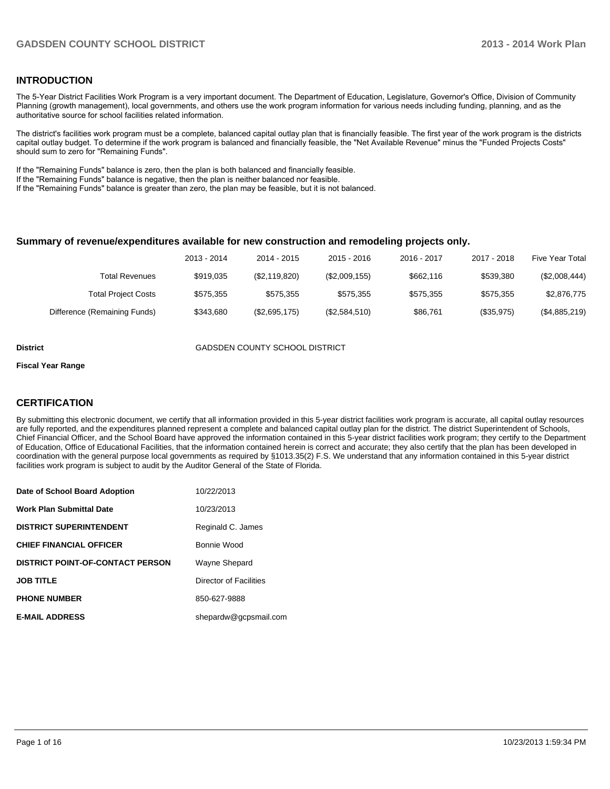#### **INTRODUCTION**

The 5-Year District Facilities Work Program is a very important document. The Department of Education, Legislature, Governor's Office, Division of Community Planning (growth management), local governments, and others use the work program information for various needs including funding, planning, and as the authoritative source for school facilities related information.

The district's facilities work program must be a complete, balanced capital outlay plan that is financially feasible. The first year of the work program is the districts capital outlay budget. To determine if the work program is balanced and financially feasible, the "Net Available Revenue" minus the "Funded Projects Costs" should sum to zero for "Remaining Funds".

If the "Remaining Funds" balance is zero, then the plan is both balanced and financially feasible.

If the "Remaining Funds" balance is negative, then the plan is neither balanced nor feasible.

If the "Remaining Funds" balance is greater than zero, the plan may be feasible, but it is not balanced.

#### **Summary of revenue/expenditures available for new construction and remodeling projects only.**

| Five Year Total | 2017 - 2018 | 2016 - 2017 | $2015 - 2016$ | 2014 - 2015   | 2013 - 2014 |                              |
|-----------------|-------------|-------------|---------------|---------------|-------------|------------------------------|
| (\$2,008,444)   | \$539.380   | \$662,116   | (\$2,009,155) | (\$2,119,820) | \$919.035   | Total Revenues               |
| \$2,876,775     | \$575.355   | \$575.355   | \$575.355     | \$575.355     | \$575.355   | <b>Total Project Costs</b>   |
| (\$4,885,219)   | (\$35,975)  | \$86,761    | (\$2,584,510) | (\$2,695,175) | \$343.680   | Difference (Remaining Funds) |

**District** GADSDEN COUNTY SCHOOL DISTRICT

#### **Fiscal Year Range**

#### **CERTIFICATION**

By submitting this electronic document, we certify that all information provided in this 5-year district facilities work program is accurate, all capital outlay resources are fully reported, and the expenditures planned represent a complete and balanced capital outlay plan for the district. The district Superintendent of Schools, Chief Financial Officer, and the School Board have approved the information contained in this 5-year district facilities work program; they certify to the Department of Education, Office of Educational Facilities, that the information contained herein is correct and accurate; they also certify that the plan has been developed in coordination with the general purpose local governments as required by §1013.35(2) F.S. We understand that any information contained in this 5-year district facilities work program is subject to audit by the Auditor General of the State of Florida.

| Date of School Board Adoption           | 10/22/2013             |
|-----------------------------------------|------------------------|
| <b>Work Plan Submittal Date</b>         | 10/23/2013             |
| <b>DISTRICT SUPERINTENDENT</b>          | Reginald C. James      |
| <b>CHIEF FINANCIAL OFFICER</b>          | Bonnie Wood            |
| <b>DISTRICT POINT-OF-CONTACT PERSON</b> | Wayne Shepard          |
| <b>JOB TITLE</b>                        | Director of Facilities |
| <b>PHONE NUMBER</b>                     | 850-627-9888           |
| <b>E-MAIL ADDRESS</b>                   | shepardw@gcpsmail.com  |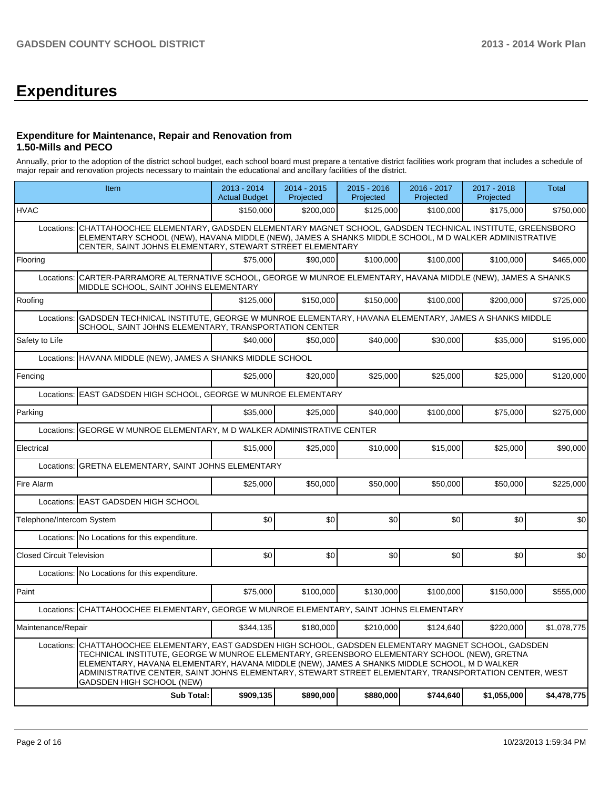# **Expenditures**

#### **Expenditure for Maintenance, Repair and Renovation from 1.50-Mills and PECO**

Annually, prior to the adoption of the district school budget, each school board must prepare a tentative district facilities work program that includes a schedule of major repair and renovation projects necessary to maintain the educational and ancillary facilities of the district.

|                                  | Item                                                                                                                                                                                                                                                                                                                                                                                                                                            | 2013 - 2014<br><b>Actual Budget</b> | $2014 - 2015$<br>Projected | 2015 - 2016<br>Projected | 2016 - 2017<br>Projected | 2017 - 2018<br>Projected | Total       |  |  |  |
|----------------------------------|-------------------------------------------------------------------------------------------------------------------------------------------------------------------------------------------------------------------------------------------------------------------------------------------------------------------------------------------------------------------------------------------------------------------------------------------------|-------------------------------------|----------------------------|--------------------------|--------------------------|--------------------------|-------------|--|--|--|
| <b>HVAC</b>                      |                                                                                                                                                                                                                                                                                                                                                                                                                                                 | \$150,000                           | \$200.000                  | \$125,000                | \$100,000                | \$175,000                | \$750,000   |  |  |  |
| Locations:                       | CHATTAHOOCHEE ELEMENTARY, GADSDEN ELEMENTARY MAGNET SCHOOL, GADSDEN TECHNICAL INSTITUTE, GREENSBORO<br>ELEMENTARY SCHOOL (NEW), HAVANA MIDDLE (NEW), JAMES A SHANKS MIDDLE SCHOOL, M D WALKER ADMINISTRATIVE<br>CENTER, SAINT JOHNS ELEMENTARY, STEWART STREET ELEMENTARY                                                                                                                                                                       |                                     |                            |                          |                          |                          |             |  |  |  |
| Flooring                         |                                                                                                                                                                                                                                                                                                                                                                                                                                                 | \$75,000                            | \$90,000                   | \$100,000                | \$100,000                | \$100,000                | \$465,000   |  |  |  |
|                                  | Locations: CARTER-PARRAMORE ALTERNATIVE SCHOOL, GEORGE W MUNROE ELEMENTARY, HAVANA MIDDLE (NEW), JAMES A SHANKS<br>MIDDLE SCHOOL, SAINT JOHNS ELEMENTARY                                                                                                                                                                                                                                                                                        |                                     |                            |                          |                          |                          |             |  |  |  |
| Roofing                          |                                                                                                                                                                                                                                                                                                                                                                                                                                                 | \$125.000                           | \$150,000                  | \$150,000                | \$100,000                | \$200,000                | \$725,000   |  |  |  |
| Locations:                       | GADSDEN TECHNICAL INSTITUTE, GEORGE W MUNROE ELEMENTARY, HAVANA ELEMENTARY, JAMES A SHANKS MIDDLE<br>SCHOOL, SAINT JOHNS ELEMENTARY, TRANSPORTATION CENTER                                                                                                                                                                                                                                                                                      |                                     |                            |                          |                          |                          |             |  |  |  |
| Safety to Life                   |                                                                                                                                                                                                                                                                                                                                                                                                                                                 | \$40,000                            | \$50,000                   | \$40,000                 | \$30,000                 | \$35,000                 | \$195,000   |  |  |  |
| Locations:                       | HAVANA MIDDLE (NEW), JAMES A SHANKS MIDDLE SCHOOL                                                                                                                                                                                                                                                                                                                                                                                               |                                     |                            |                          |                          |                          |             |  |  |  |
| Fencing                          |                                                                                                                                                                                                                                                                                                                                                                                                                                                 | \$25,000                            | \$20,000                   | \$25,000                 | \$25,000                 | \$25,000                 | \$120,000   |  |  |  |
| Locations:                       | EAST GADSDEN HIGH SCHOOL, GEORGE W MUNROE ELEMENTARY                                                                                                                                                                                                                                                                                                                                                                                            |                                     |                            |                          |                          |                          |             |  |  |  |
| Parking                          |                                                                                                                                                                                                                                                                                                                                                                                                                                                 | \$35,000                            | \$25,000                   | \$40,000                 | \$100,000                | \$75,000                 | \$275,000   |  |  |  |
| Locations:                       | GEORGE W MUNROE ELEMENTARY, M D WALKER ADMINISTRATIVE CENTER                                                                                                                                                                                                                                                                                                                                                                                    |                                     |                            |                          |                          |                          |             |  |  |  |
| Electrical                       |                                                                                                                                                                                                                                                                                                                                                                                                                                                 | \$15,000                            | \$25,000                   | \$10,000                 | \$15,000                 | \$25,000                 | \$90,000    |  |  |  |
| Locations:                       | GRETNA ELEMENTARY, SAINT JOHNS ELEMENTARY                                                                                                                                                                                                                                                                                                                                                                                                       |                                     |                            |                          |                          |                          |             |  |  |  |
| Fire Alarm                       |                                                                                                                                                                                                                                                                                                                                                                                                                                                 | \$25,000                            | \$50,000                   | \$50,000                 | \$50,000                 | \$50,000                 | \$225,000   |  |  |  |
|                                  | Locations: EAST GADSDEN HIGH SCHOOL                                                                                                                                                                                                                                                                                                                                                                                                             |                                     |                            |                          |                          |                          |             |  |  |  |
| Telephone/Intercom System        |                                                                                                                                                                                                                                                                                                                                                                                                                                                 | \$0                                 | \$0                        | \$0                      | \$0                      | \$0                      | \$0         |  |  |  |
|                                  | Locations: No Locations for this expenditure.                                                                                                                                                                                                                                                                                                                                                                                                   |                                     |                            |                          |                          |                          |             |  |  |  |
| <b>Closed Circuit Television</b> |                                                                                                                                                                                                                                                                                                                                                                                                                                                 | \$0                                 | \$0                        | \$0                      | \$0                      | \$0                      | \$0         |  |  |  |
|                                  | Locations: No Locations for this expenditure.                                                                                                                                                                                                                                                                                                                                                                                                   |                                     |                            |                          |                          |                          |             |  |  |  |
| Paint                            |                                                                                                                                                                                                                                                                                                                                                                                                                                                 | \$75,000                            | \$100,000                  | \$130,000                | \$100,000                | \$150,000                | \$555,000   |  |  |  |
|                                  | Locations: CHATTAHOOCHEE ELEMENTARY, GEORGE W MUNROE ELEMENTARY, SAINT JOHNS ELEMENTARY                                                                                                                                                                                                                                                                                                                                                         |                                     |                            |                          |                          |                          |             |  |  |  |
| Maintenance/Repair               |                                                                                                                                                                                                                                                                                                                                                                                                                                                 | \$344,135                           | \$180,000                  | \$210,000                | \$124,640                | \$220,000                | \$1,078,775 |  |  |  |
|                                  | Locations:   CHATTAHOOCHEE ELEMENTARY, EAST GADSDEN HIGH SCHOOL, GADSDEN ELEMENTARY MAGNET SCHOOL, GADSDEN<br>TECHNICAL INSTITUTE, GEORGE W MUNROE ELEMENTARY, GREENSBORO ELEMENTARY SCHOOL (NEW), GRETNA<br>ELEMENTARY, HAVANA ELEMENTARY, HAVANA MIDDLE (NEW), JAMES A SHANKS MIDDLE SCHOOL, M D WALKER<br>ADMINISTRATIVE CENTER, SAINT JOHNS ELEMENTARY, STEWART STREET ELEMENTARY, TRANSPORTATION CENTER, WEST<br>GADSDEN HIGH SCHOOL (NEW) |                                     |                            |                          |                          |                          |             |  |  |  |
|                                  | <b>Sub Total:</b>                                                                                                                                                                                                                                                                                                                                                                                                                               | \$909,135                           | \$890,000                  | \$880,000                | \$744,640                | \$1,055,000              | \$4,478,775 |  |  |  |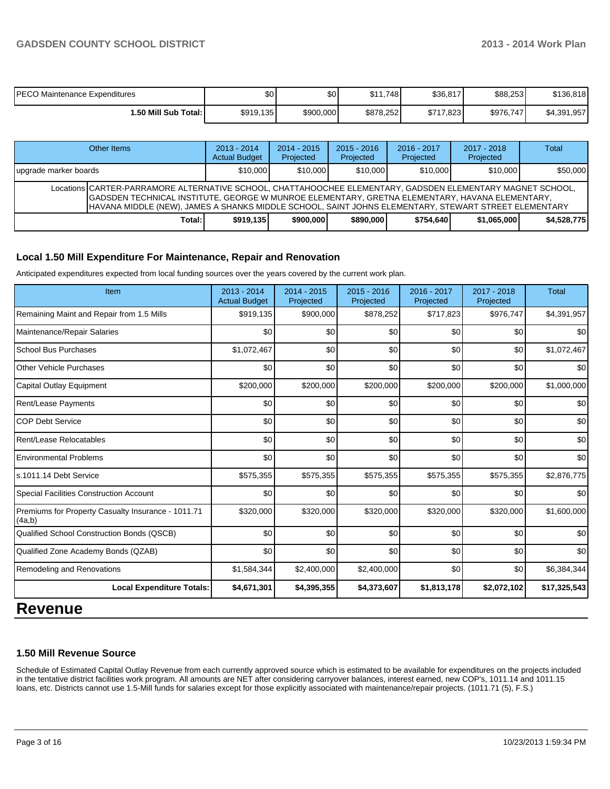| <b>PECO Maintenance Expenditures</b> | \$0       | \$0       | \$11.748  | \$36,817  | \$88,253  | \$136.818   |
|--------------------------------------|-----------|-----------|-----------|-----------|-----------|-------------|
| <b>I.50 Mill Sub Total: I</b>        | \$919,135 | \$900,000 | \$878,252 | \$717,823 | \$976,747 | \$4,391,957 |

| Other Items                                                                                                                                                                                                                                                                                                          | $2013 - 2014$<br><b>Actual Budget</b> | $2014 - 2015$<br>Projected | $2015 - 2016$<br>Projected | $2016 - 2017$<br>Projected | $2017 - 2018$<br>Projected | Total       |  |  |  |
|----------------------------------------------------------------------------------------------------------------------------------------------------------------------------------------------------------------------------------------------------------------------------------------------------------------------|---------------------------------------|----------------------------|----------------------------|----------------------------|----------------------------|-------------|--|--|--|
| Jupgrade marker boards                                                                                                                                                                                                                                                                                               | \$10,000                              | \$10,000                   | \$10,000                   | \$10,000                   | \$10,000                   | \$50,000    |  |  |  |
| Locations CARTER-PARRAMORE ALTERNATIVE SCHOOL, CHATTAHOOCHEE ELEMENTARY, GADSDEN ELEMENTARY MAGNET SCHOOL,<br>GADSDEN TECHNICAL INSTITUTE, GEORGE W MUNROE ELEMENTARY, GRETNA ELEMENTARY, HAVANA ELEMENTARY,<br>HAVANA MIDDLE (NEW), JAMES A SHANKS MIDDLE SCHOOL, SAINT JOHNS ELEMENTARY, STEWART STREET ELEMENTARY |                                       |                            |                            |                            |                            |             |  |  |  |
| Total:                                                                                                                                                                                                                                                                                                               | \$919.135                             | \$900,000                  | \$890,000                  | \$754.640                  | \$1.065.000                | \$4,528,775 |  |  |  |

#### **Local 1.50 Mill Expenditure For Maintenance, Repair and Renovation**

Anticipated expenditures expected from local funding sources over the years covered by the current work plan.

| Item                                                         | $2013 - 2014$<br><b>Actual Budget</b> | $2014 - 2015$<br>Projected | $2015 - 2016$<br>Projected | 2016 - 2017<br>Projected | $2017 - 2018$<br>Projected | <b>Total</b> |
|--------------------------------------------------------------|---------------------------------------|----------------------------|----------------------------|--------------------------|----------------------------|--------------|
| Remaining Maint and Repair from 1.5 Mills                    | \$919,135                             | \$900,000                  | \$878,252                  | \$717,823                | \$976,747                  | \$4,391,957  |
| Maintenance/Repair Salaries                                  | \$0                                   | \$0                        | \$0                        | \$0                      | \$0                        | \$0          |
| <b>School Bus Purchases</b>                                  | \$1,072,467                           | \$0                        | \$0                        | \$0                      | \$0                        | \$1,072,467  |
| Other Vehicle Purchases                                      | \$0                                   | \$0                        | \$0                        | \$0                      | \$0                        | \$0          |
| <b>Capital Outlay Equipment</b>                              | \$200,000                             | \$200,000                  | \$200,000                  | \$200,000                | \$200,000                  | \$1,000,000  |
| Rent/Lease Payments                                          | \$0                                   | \$0                        | \$0                        | \$0                      | \$0                        | \$0          |
| <b>COP Debt Service</b>                                      | \$0                                   | \$0                        | \$0                        | \$0                      | \$0                        | \$0          |
| Rent/Lease Relocatables                                      | \$0                                   | \$0                        | \$0                        | \$0                      | \$0                        | \$0          |
| <b>Environmental Problems</b>                                | $\Omega$                              | \$0                        | \$0                        | \$0                      | \$0                        | \$0          |
| ls.1011.14 Debt Service                                      | \$575,355                             | \$575,355                  | \$575,355                  | \$575,355                | \$575,355                  | \$2,876,775  |
| <b>Special Facilities Construction Account</b>               | \$0                                   | \$0                        | \$0                        | \$0                      | \$0                        | \$0          |
| Premiums for Property Casualty Insurance - 1011.71<br>(4a,b) | \$320,000                             | \$320,000                  | \$320,000                  | \$320,000                | \$320,000                  | \$1,600,000  |
| Qualified School Construction Bonds (QSCB)                   | \$0                                   | \$0                        | \$0                        | \$0                      | \$0                        | \$0          |
| Qualified Zone Academy Bonds (QZAB)                          | \$0                                   | \$0                        | \$0                        | \$0                      | \$0                        | \$0          |
| Remodeling and Renovations                                   | \$1,584,344                           | \$2,400,000                | \$2,400,000                | \$0                      | \$0                        | \$6,384,344  |
| <b>Local Expenditure Totals:</b>                             | \$4,671,301                           | \$4,395,355                | \$4,373,607                | \$1,813,178              | \$2,072,102                | \$17,325,543 |

# **Revenue**

#### **1.50 Mill Revenue Source**

Schedule of Estimated Capital Outlay Revenue from each currently approved source which is estimated to be available for expenditures on the projects included in the tentative district facilities work program. All amounts are NET after considering carryover balances, interest earned, new COP's, 1011.14 and 1011.15 loans, etc. Districts cannot use 1.5-Mill funds for salaries except for those explicitly associated with maintenance/repair projects. (1011.71 (5), F.S.)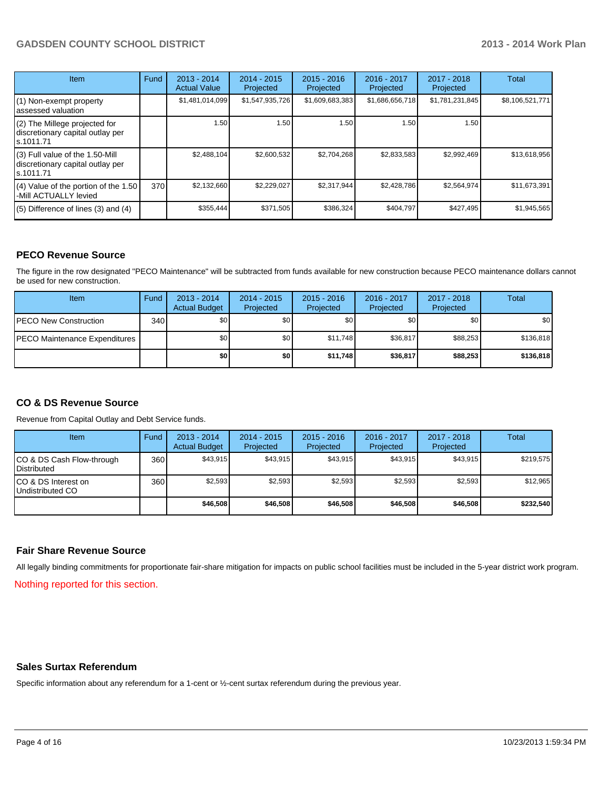### **GADSDEN COUNTY SCHOOL DISTRICT 2013 - 2014 Work Plan**

| <b>Item</b>                                                                       | Fund | 2013 - 2014<br><b>Actual Value</b> | $2014 - 2015$<br>Projected | $2015 - 2016$<br>Projected | 2016 - 2017<br>Projected | $2017 - 2018$<br>Projected | Total           |
|-----------------------------------------------------------------------------------|------|------------------------------------|----------------------------|----------------------------|--------------------------|----------------------------|-----------------|
| (1) Non-exempt property<br>lassessed valuation                                    |      | \$1,481,014,099                    | \$1,547,935,726            | \$1,609,683,383            | \$1,686,656,718          | \$1,781,231,845            | \$8,106,521,771 |
| (2) The Millege projected for<br>discretionary capital outlay per<br>ls.1011.71   |      | 1.50                               | 1.50                       | 1.50                       | 1.50                     | 1.50                       |                 |
| (3) Full value of the 1.50-Mill<br>discretionary capital outlay per<br>ls.1011.71 |      | \$2,488,104                        | \$2,600,532                | \$2,704,268                | \$2,833,583              | \$2,992,469                | \$13,618,956    |
| (4) Value of the portion of the 1.50<br>-Mill ACTUALLY levied                     | 370  | \$2,132,660                        | \$2,229,027                | \$2,317,944                | \$2,428,786              | \$2,564,974                | \$11,673,391    |
| $(5)$ Difference of lines $(3)$ and $(4)$                                         |      | \$355,444                          | \$371,505                  | \$386,324                  | \$404,797                | \$427,495                  | \$1,945,565     |

#### **PECO Revenue Source**

The figure in the row designated "PECO Maintenance" will be subtracted from funds available for new construction because PECO maintenance dollars cannot be used for new construction.

| <b>Item</b>                           | Fund | $2013 - 2014$<br><b>Actual Budget</b> | $2014 - 2015$<br>Projected | $2015 - 2016$<br>Projected | 2016 - 2017<br>Projected | 2017 - 2018<br>Projected | Total     |
|---------------------------------------|------|---------------------------------------|----------------------------|----------------------------|--------------------------|--------------------------|-----------|
| <b>IPECO New Construction</b>         | 340  | \$0                                   | \$0                        | \$0                        | \$0 <sub>0</sub>         | \$0                      | \$0       |
| <b>IPECO Maintenance Expenditures</b> |      | \$O I                                 | \$0                        | \$11.748                   | \$36.817                 | \$88,253                 | \$136,818 |
|                                       |      | \$O                                   | \$0                        | \$11,748                   | \$36,817                 | \$88,253                 | \$136,818 |

#### **CO & DS Revenue Source**

Revenue from Capital Outlay and Debt Service funds.

| <b>Item</b>                                        | Fund | $2013 - 2014$<br><b>Actual Budget</b> | $2014 - 2015$<br>Projected | $2015 - 2016$<br>Projected | $2016 - 2017$<br>Projected | $2017 - 2018$<br>Projected | Total     |
|----------------------------------------------------|------|---------------------------------------|----------------------------|----------------------------|----------------------------|----------------------------|-----------|
| ICO & DS Cash Flow-through<br><b>I</b> Distributed | 360  | \$43.915                              | \$43,915                   | \$43,915                   | \$43,915                   | \$43,915                   | \$219,575 |
| ICO & DS Interest on<br>Undistributed CO           | 360  | \$2.593                               | \$2,593                    | \$2.593                    | \$2.593                    | \$2,593                    | \$12,965  |
|                                                    |      | \$46,508                              | \$46,508                   | \$46,508                   | \$46,508                   | \$46,508                   | \$232,540 |

#### **Fair Share Revenue Source**

All legally binding commitments for proportionate fair-share mitigation for impacts on public school facilities must be included in the 5-year district work program.

Nothing reported for this section.

#### **Sales Surtax Referendum**

Specific information about any referendum for a 1-cent or ½-cent surtax referendum during the previous year.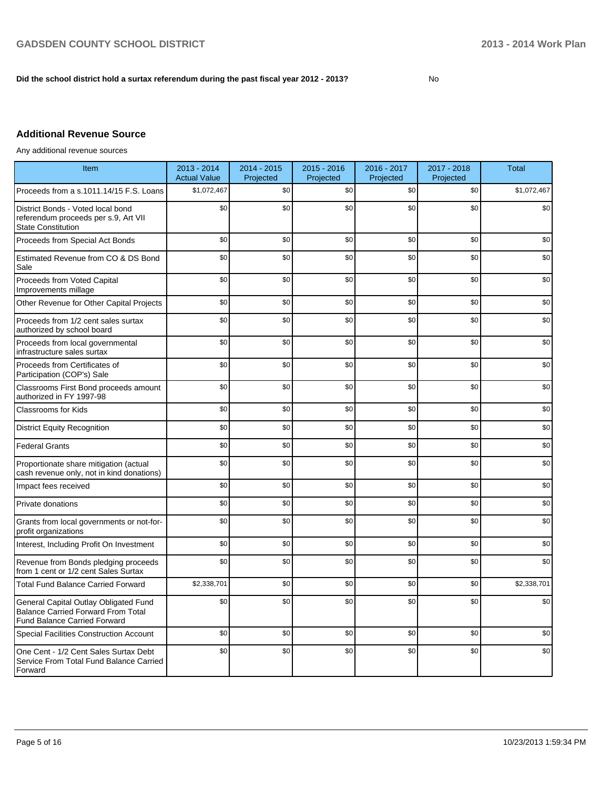#### **Did the school district hold a surtax referendum during the past fiscal year 2012 - 2013?**

No

## **Additional Revenue Source**

Any additional revenue sources

| Item                                                                                                                      | 2013 - 2014<br><b>Actual Value</b> | 2014 - 2015<br>Projected | $2015 - 2016$<br>Projected | 2016 - 2017<br>Projected | 2017 - 2018<br>Projected | <b>Total</b> |
|---------------------------------------------------------------------------------------------------------------------------|------------------------------------|--------------------------|----------------------------|--------------------------|--------------------------|--------------|
| Proceeds from a s.1011.14/15 F.S. Loans                                                                                   | \$1,072,467                        | \$0                      | \$0                        | \$0                      | \$0                      | \$1,072,467  |
| District Bonds - Voted local bond<br>referendum proceeds per s.9, Art VII<br><b>State Constitution</b>                    | \$0                                | \$0                      | \$0                        | \$0                      | \$0                      | \$0          |
| Proceeds from Special Act Bonds                                                                                           | \$0                                | \$0                      | \$0                        | \$0                      | \$0                      | \$0          |
| Estimated Revenue from CO & DS Bond<br>Sale                                                                               | \$0                                | \$0                      | \$0                        | \$0                      | \$0                      | \$0          |
| Proceeds from Voted Capital<br>Improvements millage                                                                       | \$0                                | \$0                      | \$0                        | \$0                      | \$0                      | \$0          |
| Other Revenue for Other Capital Projects                                                                                  | \$0                                | \$0                      | \$0                        | \$0                      | \$0                      | \$0          |
| Proceeds from 1/2 cent sales surtax<br>authorized by school board                                                         | \$0                                | \$0                      | \$0                        | \$0                      | \$0                      | \$0          |
| Proceeds from local governmental<br>infrastructure sales surtax                                                           | \$0                                | \$0                      | \$0                        | \$0                      | \$0                      | \$0          |
| Proceeds from Certificates of<br>Participation (COP's) Sale                                                               | \$0                                | \$0                      | \$0                        | \$0                      | \$0                      | \$0          |
| Classrooms First Bond proceeds amount<br>authorized in FY 1997-98                                                         | \$0                                | \$0                      | \$0                        | \$0                      | \$0                      | \$0          |
| <b>Classrooms for Kids</b>                                                                                                | \$0                                | \$0                      | \$0                        | \$0                      | \$0                      | \$0          |
| <b>District Equity Recognition</b>                                                                                        | \$0                                | \$0                      | \$0                        | \$0                      | \$0                      | \$0          |
| <b>Federal Grants</b>                                                                                                     | \$0                                | \$0                      | \$0                        | \$0                      | \$0                      | \$0          |
| Proportionate share mitigation (actual<br>cash revenue only, not in kind donations)                                       | \$0                                | \$0                      | \$0                        | \$0                      | \$0                      | \$0          |
| Impact fees received                                                                                                      | \$0                                | \$0                      | \$0                        | \$0                      | \$0                      | \$0          |
| Private donations                                                                                                         | \$0                                | \$0                      | \$0                        | \$0                      | \$0                      | \$0          |
| Grants from local governments or not-for-<br>profit organizations                                                         | \$0                                | \$0                      | \$0                        | \$0                      | \$0                      | \$0          |
| Interest, Including Profit On Investment                                                                                  | \$0                                | \$0                      | \$0                        | \$0                      | \$0                      | \$0          |
| Revenue from Bonds pledging proceeds<br>from 1 cent or 1/2 cent Sales Surtax                                              | \$0                                | \$0                      | \$0                        | \$0                      | \$0                      | \$0          |
| <b>Total Fund Balance Carried Forward</b>                                                                                 | \$2,338,701                        | \$0                      | \$0                        | \$0                      | \$0                      | \$2,338,701  |
| General Capital Outlay Obligated Fund<br><b>Balance Carried Forward From Total</b><br><b>Fund Balance Carried Forward</b> | \$0                                | \$0                      | \$0                        | \$0                      | \$0                      | \$0          |
| <b>Special Facilities Construction Account</b>                                                                            | \$0                                | \$0                      | \$0                        | \$0                      | \$0                      | \$0          |
| One Cent - 1/2 Cent Sales Surtax Debt<br>Service From Total Fund Balance Carried<br>Forward                               | \$0                                | \$0                      | \$0                        | \$0                      | \$0                      | \$0          |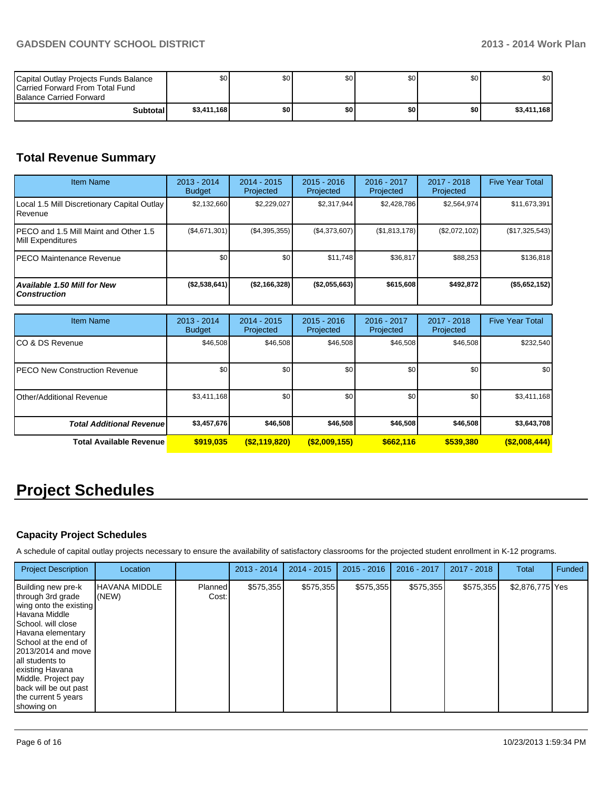| Capital Outlay Projects Funds Balance<br>Carried Forward From Total Fund<br><b>Balance Carried Forward</b> | \$0         | \$0 | \$0 <sub>1</sub> | \$0   | \$0 | \$0 <sub>1</sub> |
|------------------------------------------------------------------------------------------------------------|-------------|-----|------------------|-------|-----|------------------|
| <b>Subtotal</b>                                                                                            | \$3,411,168 | \$0 | \$0              | \$0 I | \$0 | \$3,411,168      |

## **Total Revenue Summary**

| <b>Item Name</b>                                            | 2013 - 2014<br><b>Budget</b> | $2014 - 2015$<br>Projected | $2015 - 2016$<br>Projected | $2016 - 2017$<br>Projected | 2017 - 2018<br>Projected | <b>Five Year Total</b> |
|-------------------------------------------------------------|------------------------------|----------------------------|----------------------------|----------------------------|--------------------------|------------------------|
| Local 1.5 Mill Discretionary Capital Outlay<br>l Revenue    | \$2,132,660                  | \$2,229,027                | \$2,317,944                | \$2,428,786                | \$2,564,974              | \$11,673,391           |
| IPECO and 1.5 Mill Maint and Other 1.5<br>Mill Expenditures | (\$4,671,301)                | (\$4,395,355)              | (\$4,373,607)              | (S1, 813, 178)             | (\$2,072,102)            | (\$17,325,543)         |
| IPECO Maintenance Revenue                                   | \$0 <sub>1</sub>             | \$0                        | \$11.748                   | \$36.817                   | \$88,253                 | \$136,818              |
| <b>Available 1.50 Mill for New</b><br><b>Construction</b>   | $($ \$2,538,641)             | (S2, 166, 328)             | (\$2,055,663)              | \$615,608                  | \$492,872                | (\$5,652,152)          |

| <b>Item Name</b>                      | 2013 - 2014<br><b>Budget</b> | $2014 - 2015$<br>Projected | $2015 - 2016$<br>Projected | 2016 - 2017<br>Projected | 2017 - 2018<br>Projected | <b>Five Year Total</b> |
|---------------------------------------|------------------------------|----------------------------|----------------------------|--------------------------|--------------------------|------------------------|
| ICO & DS Revenue                      | \$46,508                     | \$46,508                   | \$46,508                   | \$46,508                 | \$46,508                 | \$232,540              |
| <b>IPECO New Construction Revenue</b> | \$0                          | \$0                        | \$0                        | \$0                      | \$0                      | \$0 <sub>1</sub>       |
| Other/Additional Revenue              | \$3,411,168                  | \$0                        | \$0                        | \$0                      | \$0                      | \$3,411,168            |
| <b>Total Additional Revenuel</b>      | \$3,457,676                  | \$46,508                   | \$46,508                   | \$46,508                 | \$46,508                 | \$3,643,708            |
| <b>Total Available Revenue</b>        | \$919.035                    | ( \$2,119,820)             | $($ \$2,009,155)           | \$662.116                | \$539,380                | $($ \$2,008,444)       |

# **Project Schedules**

## **Capacity Project Schedules**

A schedule of capital outlay projects necessary to ensure the availability of satisfactory classrooms for the projected student enrollment in K-12 programs.

| <b>Project Description</b>                                                                                                                                                                                                                                                                                          | Location               |                         | $2013 - 2014$ | $2014 - 2015$ | $2015 - 2016$ | 2016 - 2017 | $2017 - 2018$ | Total           | Funded |
|---------------------------------------------------------------------------------------------------------------------------------------------------------------------------------------------------------------------------------------------------------------------------------------------------------------------|------------------------|-------------------------|---------------|---------------|---------------|-------------|---------------|-----------------|--------|
| Building new pre-k<br>through 3rd grade<br>wing onto the existing<br>l Havana Middle<br>School, will close<br>Havana elementary<br><b>I</b> School at the end of<br>12013/2014 and move<br>Iall students to<br>existing Havana<br>Middle. Project pay<br>back will be out past<br>the current 5 years<br>showing on | HAVANA MIDDLE<br>(NEW) | <b>Planned</b><br>Cost: | \$575,355     | \$575,355     | \$575,355     | \$575,355   | \$575,355     | \$2,876,775 Yes |        |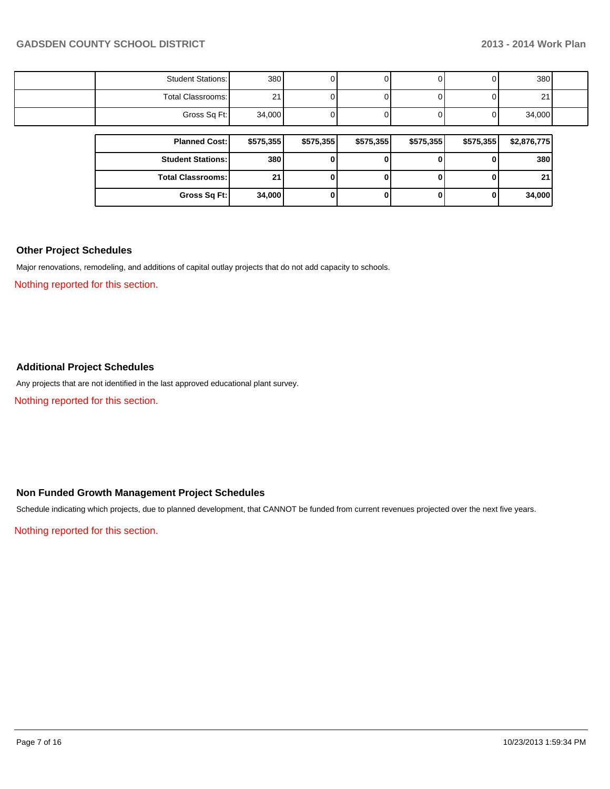| <b>Student Stations:</b> | 380       |           |           |           |           | 380         |  |
|--------------------------|-----------|-----------|-----------|-----------|-----------|-------------|--|
| Total Classrooms:        | 21        |           |           |           |           | 21          |  |
| Gross Sq Ft:             | 34,000    |           |           |           |           | 34,000      |  |
|                          |           |           |           |           |           |             |  |
| <b>Planned Cost:</b>     | \$575,355 | \$575,355 | \$575,355 | \$575,355 | \$575,355 | \$2,876,775 |  |
| <b>Student Stations:</b> | 380       |           |           |           |           |             |  |
|                          |           |           |           |           |           | 380         |  |
| <b>Total Classrooms:</b> | 21        |           |           |           |           | 21          |  |

#### **Other Project Schedules**

Major renovations, remodeling, and additions of capital outlay projects that do not add capacity to schools.

Nothing reported for this section.

#### **Additional Project Schedules**

Any projects that are not identified in the last approved educational plant survey.

Nothing reported for this section.

#### **Non Funded Growth Management Project Schedules**

Schedule indicating which projects, due to planned development, that CANNOT be funded from current revenues projected over the next five years.

Nothing reported for this section.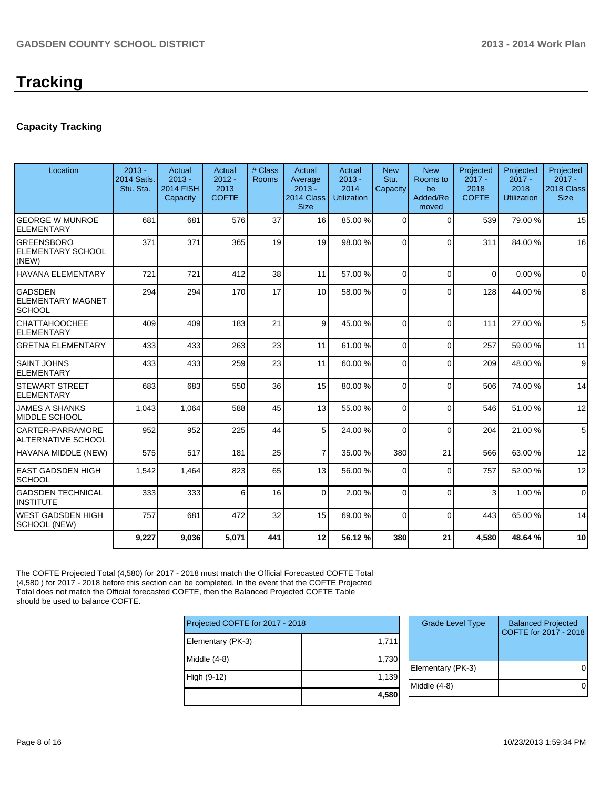### **Capacity Tracking**

| Location                                                    | $2013 -$<br><b>2014 Satis</b><br>Stu. Sta. | Actual<br>$2013 -$<br><b>2014 FISH</b><br>Capacity | Actual<br>$2012 -$<br>2013<br><b>COFTE</b> | # Class<br><b>Rooms</b> | Actual<br>Average<br>$2013 -$<br>2014 Class<br><b>Size</b> | Actual<br>$2013 -$<br>2014<br>Utilization | <b>New</b><br>Stu.<br>Capacity | <b>New</b><br>Rooms to<br>be<br>Added/Re<br>moved | Projected<br>$2017 -$<br>2018<br><b>COFTE</b> | Projected<br>$2017 -$<br>2018<br><b>Utilization</b> | Projected<br>$2017 -$<br>2018 Class<br><b>Size</b> |
|-------------------------------------------------------------|--------------------------------------------|----------------------------------------------------|--------------------------------------------|-------------------------|------------------------------------------------------------|-------------------------------------------|--------------------------------|---------------------------------------------------|-----------------------------------------------|-----------------------------------------------------|----------------------------------------------------|
| <b>GEORGE W MUNROE</b><br><b>ELEMENTARY</b>                 | 681                                        | 681                                                | 576                                        | 37                      | 16                                                         | 85.00 %                                   | $\Omega$                       | $\Omega$                                          | 539                                           | 79.00 %                                             | 15                                                 |
| <b>GREENSBORO</b><br><b>ELEMENTARY SCHOOL</b><br>(NEW)      | 371                                        | 371                                                | 365                                        | 19                      | 19                                                         | 98.00 %                                   | $\Omega$                       | $\Omega$                                          | 311                                           | 84.00%                                              | 16                                                 |
| <b>HAVANA ELEMENTARY</b>                                    | 721                                        | 721                                                | 412                                        | 38                      | 11                                                         | 57.00 %                                   | 0                              | $\Omega$                                          | $\Omega$                                      | 0.00%                                               | $\Omega$                                           |
| <b>GADSDEN</b><br><b>ELEMENTARY MAGNET</b><br><b>SCHOOL</b> | 294                                        | 294                                                | 170                                        | 17                      | 10 <sup>1</sup>                                            | 58.00 %                                   | $\Omega$                       | $\Omega$                                          | 128                                           | 44.00%                                              | 8                                                  |
| <b>CHATTAHOOCHEE</b><br><b>ELEMENTARY</b>                   | 409                                        | 409                                                | 183                                        | 21                      | $\vert$                                                    | 45.00 %                                   | $\Omega$                       | $\Omega$                                          | 111                                           | 27.00 %                                             | 5                                                  |
| <b>GRETNA ELEMENTARY</b>                                    | 433                                        | 433                                                | 263                                        | 23                      | 11                                                         | 61.00 %                                   | $\overline{0}$                 | $\Omega$                                          | 257                                           | 59.00 %                                             | 11                                                 |
| <b>SAINT JOHNS</b><br><b>ELEMENTARY</b>                     | 433                                        | 433                                                | 259                                        | 23                      | 11                                                         | 60.00 %                                   | $\Omega$                       | $\Omega$                                          | 209                                           | 48.00%                                              | 9                                                  |
| <b>STEWART STREET</b><br><b>ELEMENTARY</b>                  | 683                                        | 683                                                | 550                                        | 36                      | 15                                                         | 80.00 %                                   | $\Omega$                       | $\Omega$                                          | 506                                           | 74.00%                                              | 14                                                 |
| <b>JAMES A SHANKS</b><br>MIDDLE SCHOOL                      | 1,043                                      | 1,064                                              | 588                                        | 45                      | 13                                                         | 55.00 %                                   | 0                              | $\Omega$                                          | 546                                           | 51.00%                                              | 12                                                 |
| <b>CARTER-PARRAMORE</b><br><b>ALTERNATIVE SCHOOL</b>        | 952                                        | 952                                                | 225                                        | 44                      | 5 <sup>1</sup>                                             | 24.00 %                                   | $\Omega$                       | $\Omega$                                          | 204                                           | 21.00%                                              | 5                                                  |
| HAVANA MIDDLE (NEW)                                         | 575                                        | 517                                                | 181                                        | 25                      | $\overline{7}$                                             | 35.00 %                                   | 380                            | 21                                                | 566                                           | 63.00 %                                             | 12                                                 |
| <b>EAST GADSDEN HIGH</b><br>SCHOOL                          | 1,542                                      | 1,464                                              | 823                                        | 65                      | 13                                                         | 56.00 %                                   | 0                              | $\Omega$                                          | 757                                           | 52.00 %                                             | 12                                                 |
| <b>GADSDEN TECHNICAL</b><br><b>INSTITUTE</b>                | 333                                        | 333                                                | 6                                          | 16                      | $\Omega$                                                   | 2.00%                                     | $\Omega$                       | $\Omega$                                          | 3                                             | 1.00%                                               | $\Omega$                                           |
| <b>WEST GADSDEN HIGH</b><br>SCHOOL (NEW)                    | 757                                        | 681                                                | 472                                        | 32                      | 15                                                         | 69.00 %                                   | $\Omega$                       | $\Omega$                                          | 443                                           | 65.00 %                                             | 14                                                 |
|                                                             | 9,227                                      | 9,036                                              | 5,071                                      | 441                     | 12                                                         | 56.12%                                    | 380                            | 21                                                | 4.580                                         | 48.64%                                              | 10                                                 |

The COFTE Projected Total (4,580) for 2017 - 2018 must match the Official Forecasted COFTE Total (4,580 ) for 2017 - 2018 before this section can be completed. In the event that the COFTE Projected Total does not match the Official forecasted COFTE, then the Balanced Projected COFTE Table should be used to balance COFTE.

| Projected COFTE for 2017 - 2018 |       |  |  |  |  |
|---------------------------------|-------|--|--|--|--|
| Elementary (PK-3)               | 1,711 |  |  |  |  |
| Middle $(4-8)$                  | 1,730 |  |  |  |  |
| High (9-12)                     | 1,139 |  |  |  |  |
|                                 | 4,580 |  |  |  |  |

| <b>Grade Level Type</b> | <b>Balanced Projected</b><br>COFTE for 2017 - 2018 |
|-------------------------|----------------------------------------------------|
| Elementary (PK-3)       |                                                    |
| Middle (4-8)            |                                                    |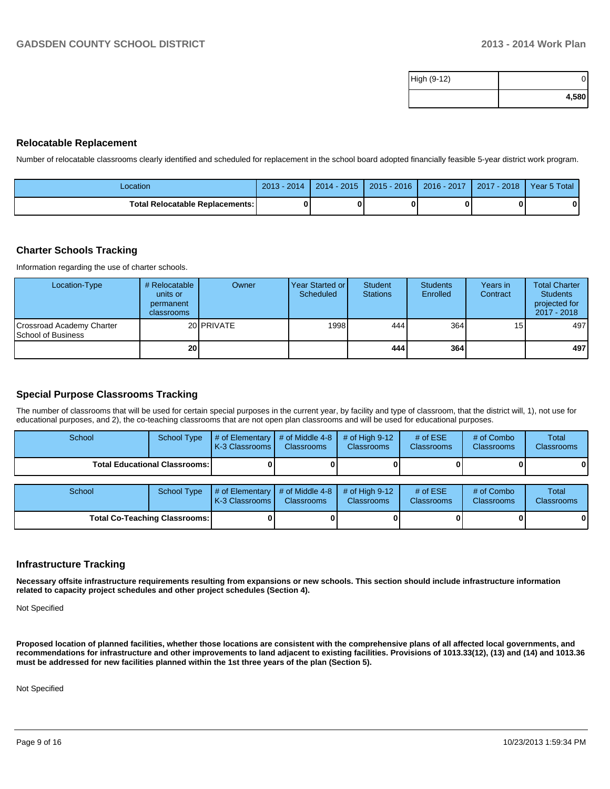| High (9-12) |       |
|-------------|-------|
|             | 4,580 |

#### **Relocatable Replacement**

Number of relocatable classrooms clearly identified and scheduled for replacement in the school board adopted financially feasible 5-year district work program.

| Location                               | $2013 -$<br>$\sqrt{2014}$ | $2014 - 2015$ | $2015 - 2016$ | 2016 - 2017 | 2017 - 2018 | Year 5 Total |
|----------------------------------------|---------------------------|---------------|---------------|-------------|-------------|--------------|
| <b>Total Relocatable Replacements:</b> | o                         |               |               |             |             |              |

#### **Charter Schools Tracking**

Information regarding the use of charter schools.

| Location-Type                                          | # Relocatable<br>units or<br>permanent<br>classrooms | Owner             | Year Started or I<br>Scheduled | Student<br><b>Stations</b> | <b>Students</b><br>Enrolled | Years in<br>Contract | <b>Total Charter</b><br><b>Students</b><br>projected for<br>2017 - 2018 |
|--------------------------------------------------------|------------------------------------------------------|-------------------|--------------------------------|----------------------------|-----------------------------|----------------------|-------------------------------------------------------------------------|
| Crossroad Academy Charter<br><b>School of Business</b> |                                                      | 20 <b>PRIVATE</b> | 1998                           | 444                        | 364                         | 15                   | 497                                                                     |
|                                                        | 20 <sup>1</sup>                                      |                   |                                | 444                        | 364                         |                      | 497                                                                     |

#### **Special Purpose Classrooms Tracking**

The number of classrooms that will be used for certain special purposes in the current year, by facility and type of classroom, that the district will, 1), not use for educational purposes, and 2), the co-teaching classrooms that are not open plan classrooms and will be used for educational purposes.

| School                          | School Type        | $\parallel$ # of Elementary $\parallel$ # of Middle 4-8 $\parallel$<br><b>K-3 Classrooms L</b> | <b>Classrooms</b> | $\#$ of High 9-12<br><b>Classrooms</b> | # of $ESE$<br><b>Classrooms</b> | # of Combo<br><b>Classrooms</b> | Total<br><b>Classrooms</b> |
|---------------------------------|--------------------|------------------------------------------------------------------------------------------------|-------------------|----------------------------------------|---------------------------------|---------------------------------|----------------------------|
| Total Educational Classrooms: I |                    |                                                                                                |                   |                                        |                                 |                                 | 01                         |
|                                 |                    |                                                                                                |                   |                                        |                                 |                                 |                            |
| School                          | <b>School Type</b> | $\#$ of Elementary $\#$ of Middle 4-8 $\#$ of High 9-12                                        |                   |                                        | # of $ESE$                      | # of Combo                      | Total                      |

| School                               | School Type | $\parallel$ # of Elementary $\parallel$ # of Middle 4-8 $\parallel$ # of High 9-12<br><b>IK-3 Classrooms I</b> | <b>Classrooms</b> | <b>Classrooms</b> | # of $ESE$<br><b>Classrooms</b> | # of Combo<br><b>Classrooms</b> | Total<br><b>Classrooms</b> |
|--------------------------------------|-------------|----------------------------------------------------------------------------------------------------------------|-------------------|-------------------|---------------------------------|---------------------------------|----------------------------|
| <b>Total Co-Teaching Classrooms:</b> |             |                                                                                                                |                   |                   |                                 | 01                              | 01                         |

#### **Infrastructure Tracking**

**Necessary offsite infrastructure requirements resulting from expansions or new schools. This section should include infrastructure information related to capacity project schedules and other project schedules (Section 4).**

Not Specified

**Proposed location of planned facilities, whether those locations are consistent with the comprehensive plans of all affected local governments, and recommendations for infrastructure and other improvements to land adjacent to existing facilities. Provisions of 1013.33(12), (13) and (14) and 1013.36 must be addressed for new facilities planned within the 1st three years of the plan (Section 5).**

Not Specified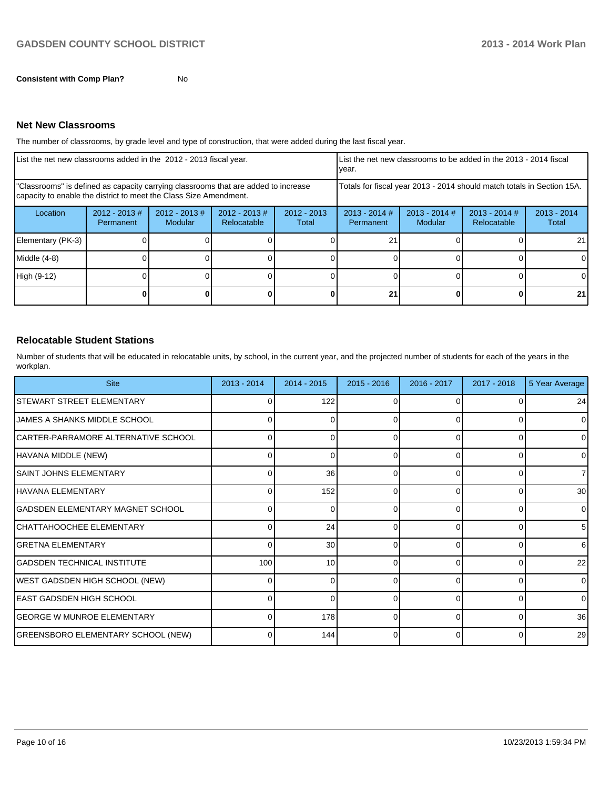## **Net New Classrooms**

The number of classrooms, by grade level and type of construction, that were added during the last fiscal year.

| List the net new classrooms added in the 2012 - 2013 fiscal year.                                                                                       |                               |                                    |                                |                        | List the net new classrooms to be added in the 2013 - 2014 fiscal<br>vear. |                            |                                |                        |
|---------------------------------------------------------------------------------------------------------------------------------------------------------|-------------------------------|------------------------------------|--------------------------------|------------------------|----------------------------------------------------------------------------|----------------------------|--------------------------------|------------------------|
| "Classrooms" is defined as capacity carrying classrooms that are added to increase<br>capacity to enable the district to meet the Class Size Amendment. |                               |                                    |                                |                        | Totals for fiscal year 2013 - 2014 should match totals in Section 15A.     |                            |                                |                        |
| Location                                                                                                                                                | $2012 - 2013 \#$<br>Permanent | $2012 - 2013 \#$<br><b>Modular</b> | $2012 - 2013$ #<br>Relocatable | $2012 - 2013$<br>Total | $2013 - 2014$ #<br>Permanent                                               | $2013 - 2014$ #<br>Modular | $2013 - 2014$ #<br>Relocatable | $2013 - 2014$<br>Total |
| Elementary (PK-3)                                                                                                                                       |                               |                                    |                                |                        | 21                                                                         |                            |                                | 21                     |
| Middle (4-8)                                                                                                                                            |                               |                                    |                                |                        |                                                                            |                            |                                |                        |
| High (9-12)                                                                                                                                             |                               |                                    |                                |                        |                                                                            |                            |                                | 0                      |
|                                                                                                                                                         |                               |                                    |                                |                        | 21                                                                         |                            |                                | 21                     |

#### **Relocatable Student Stations**

Number of students that will be educated in relocatable units, by school, in the current year, and the projected number of students for each of the years in the workplan.

| <b>Site</b>                         | 2013 - 2014 | 2014 - 2015     | $2015 - 2016$ | 2016 - 2017 | 2017 - 2018 | 5 Year Average  |
|-------------------------------------|-------------|-----------------|---------------|-------------|-------------|-----------------|
| STEWART STREET ELEMENTARY           | $\Omega$    | 122             | 0             | O           |             | 24              |
| JAMES A SHANKS MIDDLE SCHOOL        | ΩI          | 0               | 0             | 0           | 0           | $\Omega$        |
| CARTER-PARRAMORE ALTERNATIVE SCHOOL | 0           | n               | ∩             |             | 0           | 0               |
| HAVANA MIDDLE (NEW)                 | $\Omega$    | 0               | 0             | 0           | 0           | $\Omega$        |
| <b>SAINT JOHNS ELEMENTARY</b>       |             | 36              | 0             |             | O           | 71              |
| HAVANA ELEMENTARY                   | $\Omega$    | 152             | 0             | $\Omega$    | 0           | 30 <sup>1</sup> |
| GADSDEN ELEMENTARY MAGNET SCHOOL    |             |                 | U             |             |             | 0               |
| CHATTAHOOCHEE ELEMENTARY            | $\Omega$    | 24              | 0             | $\Omega$    | 0           | 5               |
| <b>GRETNA ELEMENTARY</b>            | 0           | 30              | O             |             | 0           | 6               |
| IGADSDEN TECHNICAL INSTITUTE        | 100         | 10 <sup>1</sup> | 0             | $\Omega$    | 0           | 22              |
| WEST GADSDEN HIGH SCHOOL (NEW)      | 0           |                 | ŋ             | r           | $\Omega$    | $\Omega$        |
| EAST GADSDEN HIGH SCHOOL            | $\Omega$    | 0               | 0             | $\Omega$    | $\Omega$    | $\Omega$        |
| <b>GEORGE W MUNROE ELEMENTARY</b>   |             | <b>178</b>      | O             | ∩           | $\Omega$    | 36              |
| GREENSBORO ELEMENTARY SCHOOL (NEW)  | ΩI          | 144             | 0             | ∩           | 0           | 29              |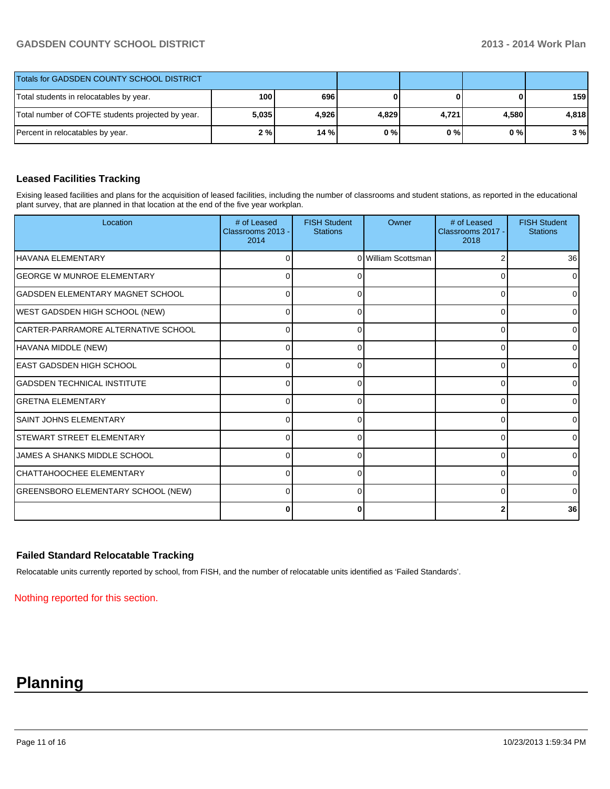### **GADSDEN COUNTY SCHOOL DISTRICT 2013 - 2014 Work Plan**

| Totals for GADSDEN COUNTY SCHOOL DISTRICT         |                  |       |       |       |       |       |
|---------------------------------------------------|------------------|-------|-------|-------|-------|-------|
| Total students in relocatables by year.           | 100 <sup>1</sup> | 696   |       |       | 0     | 159   |
| Total number of COFTE students projected by year. | 5,035            | 4,926 | 4,829 | 4.721 | 4.580 | 4.818 |
| Percent in relocatables by year.                  | 2 % l            | 14%   | 0%    | 0 % I | 0 % I | 3%    |

#### **Leased Facilities Tracking**

Exising leased facilities and plans for the acquisition of leased facilities, including the number of classrooms and student stations, as reported in the educational plant survey, that are planned in that location at the end of the five year workplan.

| Location                            | # of Leased<br>Classrooms 2013 -<br>2014 | <b>FISH Student</b><br><b>Stations</b> | Owner               | # of Leased<br>Classrooms 2017 -<br>2018 | <b>FISH Student</b><br><b>Stations</b> |
|-------------------------------------|------------------------------------------|----------------------------------------|---------------------|------------------------------------------|----------------------------------------|
| HAVANA ELEMENTARY                   | 0                                        |                                        | 0 William Scottsman |                                          | 36 <sup>l</sup>                        |
| <b>GEORGE W MUNROE ELEMENTARY</b>   | U                                        |                                        |                     | U                                        | $\overline{0}$                         |
| GADSDEN ELEMENTARY MAGNET SCHOOL    | C                                        |                                        |                     | 0                                        | 01                                     |
| WEST GADSDEN HIGH SCHOOL (NEW)      | 0                                        | 0                                      |                     | $\Omega$                                 | 0                                      |
| CARTER-PARRAMORE ALTERNATIVE SCHOOL | $\Omega$                                 | 0                                      |                     | $\Omega$                                 | 0                                      |
| HAVANA MIDDLE (NEW)                 | U                                        | O                                      |                     | ∩                                        | 01                                     |
| IEAST GADSDEN HIGH SCHOOL           | U                                        |                                        |                     | U                                        | $\overline{0}$                         |
| ÍGADSDEN TECHNICAL INSTITUTE        | 0                                        |                                        |                     | 0                                        | 01                                     |
| IGRETNA ELEMENTARY                  | 0                                        | 0                                      |                     | 0                                        | 0                                      |
| <b>SAINT JOHNS ELEMENTARY</b>       | $\Omega$                                 | 0                                      |                     | $\Omega$                                 | 0                                      |
| ISTEWART STREET ELEMENTARY          | O                                        |                                        |                     | U                                        | 0                                      |
| JAMES A SHANKS MIDDLE SCHOOL        | U                                        |                                        |                     | U                                        | $\overline{0}$                         |
| CHATTAHOOCHEE ELEMENTARY            | 0                                        |                                        |                     | 0                                        | 01                                     |
| GREENSBORO ELEMENTARY SCHOOL (NEW)  | $\Omega$                                 | 0                                      |                     | 0                                        | $\overline{0}$                         |
|                                     | $\Omega$                                 | 0                                      |                     |                                          | 36                                     |

#### **Failed Standard Relocatable Tracking**

Relocatable units currently reported by school, from FISH, and the number of relocatable units identified as 'Failed Standards'.

Nothing reported for this section.

# **Planning**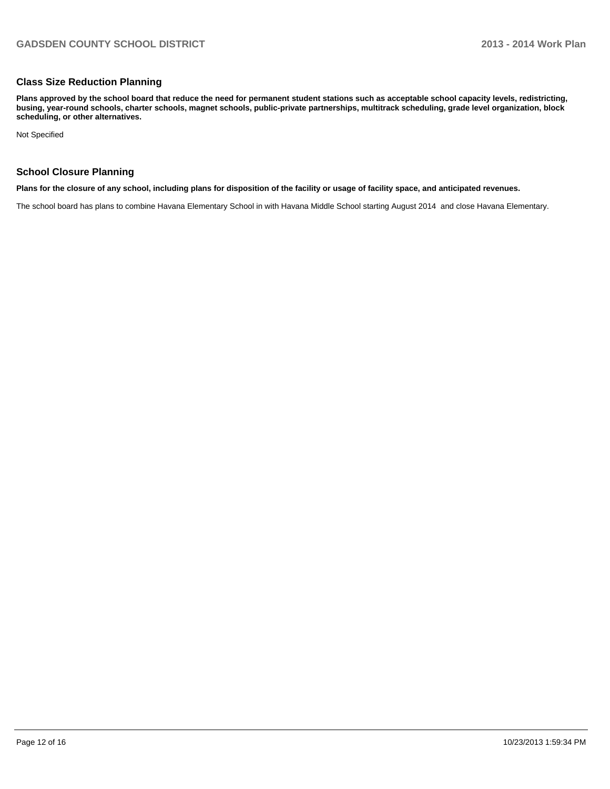#### **Class Size Reduction Planning**

**Plans approved by the school board that reduce the need for permanent student stations such as acceptable school capacity levels, redistricting, busing, year-round schools, charter schools, magnet schools, public-private partnerships, multitrack scheduling, grade level organization, block scheduling, or other alternatives.**

Not Specified

#### **School Closure Planning**

**Plans for the closure of any school, including plans for disposition of the facility or usage of facility space, and anticipated revenues.**

The school board has plans to combine Havana Elementary School in with Havana Middle School starting August 2014 and close Havana Elementary.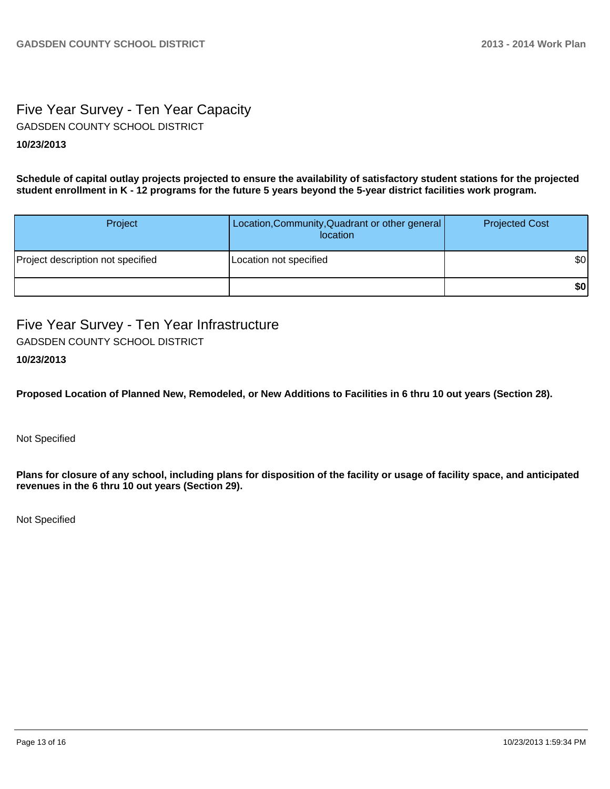# Five Year Survey - Ten Year Capacity GADSDEN COUNTY SCHOOL DISTRICT

#### **10/23/2013**

**Schedule of capital outlay projects projected to ensure the availability of satisfactory student stations for the projected student enrollment in K - 12 programs for the future 5 years beyond the 5-year district facilities work program.**

| Project                           | Location, Community, Quadrant or other general<br>location | <b>Projected Cost</b> |
|-----------------------------------|------------------------------------------------------------|-----------------------|
| Project description not specified | Location not specified                                     | \$0                   |
|                                   |                                                            | \$0                   |

Five Year Survey - Ten Year Infrastructure GADSDEN COUNTY SCHOOL DISTRICT

### **10/23/2013**

**Proposed Location of Planned New, Remodeled, or New Additions to Facilities in 6 thru 10 out years (Section 28).**

Not Specified

**Plans for closure of any school, including plans for disposition of the facility or usage of facility space, and anticipated revenues in the 6 thru 10 out years (Section 29).**

Not Specified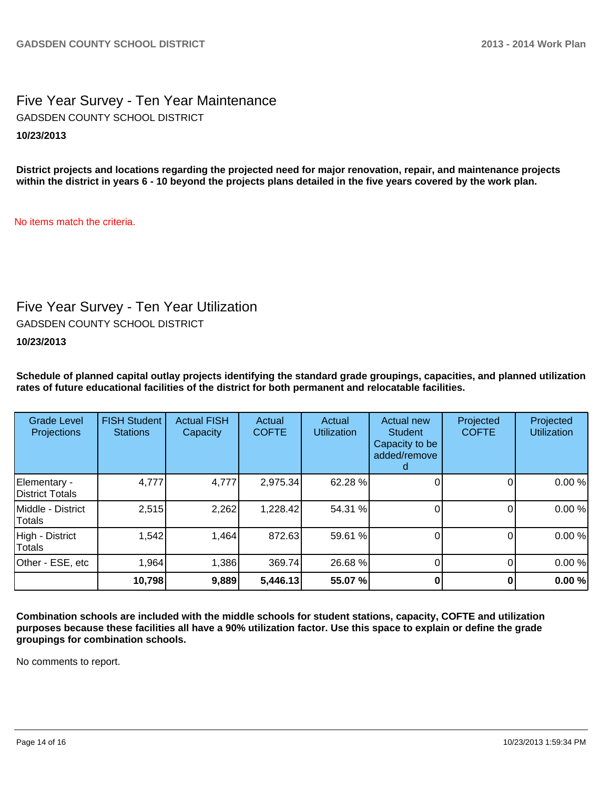## Five Year Survey - Ten Year Maintenance **10/23/2013** GADSDEN COUNTY SCHOOL DISTRICT

**District projects and locations regarding the projected need for major renovation, repair, and maintenance projects within the district in years 6 - 10 beyond the projects plans detailed in the five years covered by the work plan.**

No items match the criteria.

# Five Year Survey - Ten Year Utilization

GADSDEN COUNTY SCHOOL DISTRICT

**10/23/2013**

**Schedule of planned capital outlay projects identifying the standard grade groupings, capacities, and planned utilization rates of future educational facilities of the district for both permanent and relocatable facilities.**

| <b>Grade Level</b><br><b>Projections</b> | <b>FISH Student</b><br><b>Stations</b> | <b>Actual FISH</b><br>Capacity | Actual<br><b>COFTE</b> | Actual<br><b>Utilization</b> | Actual new<br><b>Student</b><br>Capacity to be<br>added/remove | Projected<br><b>COFTE</b> | Projected<br><b>Utilization</b> |
|------------------------------------------|----------------------------------------|--------------------------------|------------------------|------------------------------|----------------------------------------------------------------|---------------------------|---------------------------------|
| Elementary -<br>District Totals          | 4,777                                  | 4,777                          | 2,975.34               | 62.28 %                      |                                                                |                           | 0.00%                           |
| Middle - District<br>Totals              | 2,515                                  | 2,262                          | 1,228.42               | 54.31 %                      |                                                                |                           | 0.00%                           |
| High - District<br>Totals                | 1,542                                  | 1,464                          | 872.63                 | 59.61 %                      |                                                                |                           | 0.00%                           |
| Other - ESE, etc                         | 1,964                                  | 1,386                          | 369.74                 | 26.68 %                      |                                                                |                           | 0.00%                           |
|                                          | 10,798                                 | 9,889                          | 5,446.13               | 55.07 %                      |                                                                |                           | 0.00%                           |

**Combination schools are included with the middle schools for student stations, capacity, COFTE and utilization purposes because these facilities all have a 90% utilization factor. Use this space to explain or define the grade groupings for combination schools.**

No comments to report.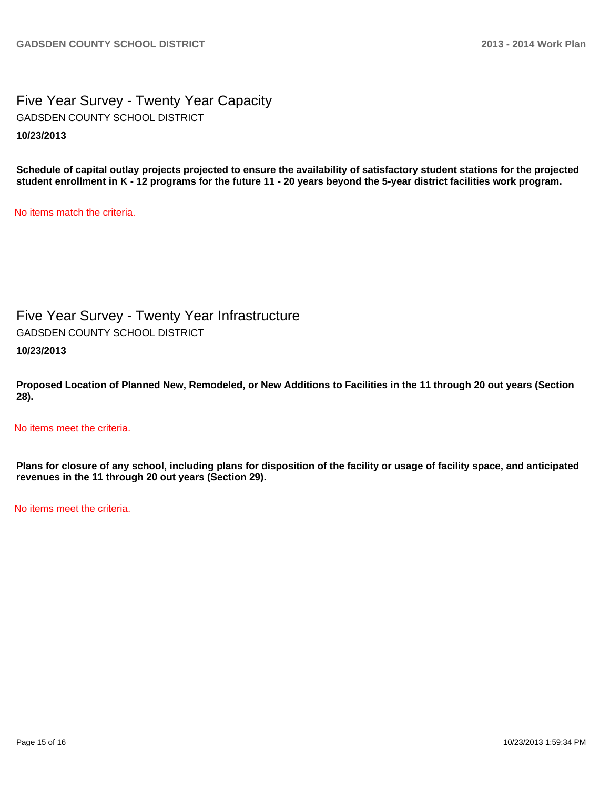Five Year Survey - Twenty Year Capacity **10/23/2013** GADSDEN COUNTY SCHOOL DISTRICT

**Schedule of capital outlay projects projected to ensure the availability of satisfactory student stations for the projected student enrollment in K - 12 programs for the future 11 - 20 years beyond the 5-year district facilities work program.**

No items match the criteria.

Five Year Survey - Twenty Year Infrastructure GADSDEN COUNTY SCHOOL DISTRICT

**10/23/2013**

**Proposed Location of Planned New, Remodeled, or New Additions to Facilities in the 11 through 20 out years (Section 28).**

No items meet the criteria.

**Plans for closure of any school, including plans for disposition of the facility or usage of facility space, and anticipated revenues in the 11 through 20 out years (Section 29).**

No items meet the criteria.